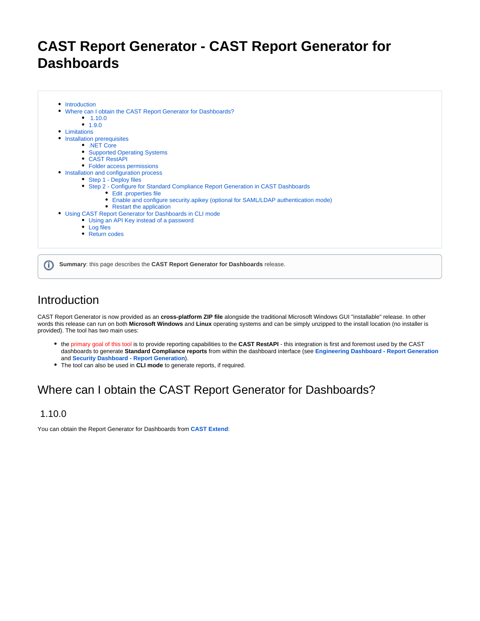# **CAST Report Generator - CAST Report Generator for Dashboards**

- [Introduction](#page-0-0)
- [Where can I obtain the CAST Report Generator for Dashboards?](#page-0-1)
	- $1.10.0$  $1.10.0$  $• 1.9.0$  $• 1.9.0$
- [Limitations](#page-1-1)
- [Installation prerequisites](#page-1-2)
	- [.NET Core](#page-1-3)
		- [Supported Operating Systems](#page-3-0)
			- [CAST RestAPI](#page-3-1)
			-
- [Folder access permissions](#page-3-2) • [Installation and configuration process](#page-4-0)
	- [Step 1 Deploy files](#page-4-1)
	- [Step 2 Configure for Standard Compliance Report Generation in CAST Dashboards](#page-4-2)
		- [Edit .properties file](#page-4-3)
		- [Enable and configure security.apikey \(optional for SAML/LDAP authentication mode\)](#page-5-0)
	- [Restart the application](#page-6-0)
- [Using CAST Report Generator for Dashboards in CLI mode](#page-6-1)
	- [Using an API Key instead of a password](#page-6-2)
	- [Log files](#page-6-3)
	- [Return codes](#page-6-4)

**Summary**: this page describes the **CAST Report Generator for Dashboards** release.

## <span id="page-0-0"></span>Introduction

O)

CAST Report Generator is now provided as an **cross-platform ZIP file** alongside the traditional Microsoft Windows GUI "installable" release. In other words this release can run on both **Microsoft Windows** and **Linux** operating systems and can be simply unzipped to the install location (no installer is provided). The tool has two main uses:

- the primary goal of this tool is to provide reporting capabilities to the CAST RestAPI this integration is first and foremost used by the CAST dashboards to generate **Standard Compliance reports** from within the dashboard interface (see **[Engineering Dashboard - Report Generation](https://doc.castsoftware.com/display/DASHBOARDS/Engineering+Dashboard+-+Report+Generation)** and **[Security Dashboard - Report Generation](https://doc.castsoftware.com/display/SECURITY/Security+Dashboard+-+Report+Generation)**).
- The tool can also be used in **CLI mode** to generate reports, if required.

## <span id="page-0-1"></span>Where can I obtain the CAST Report Generator for Dashboards?

#### <span id="page-0-2"></span>1.10.0

You can obtain the Report Generator for Dashboards from **[CAST Extend](https://extend.castsoftware.com/#/extension?id=com.castsoftware.aip.reportgeneratorfordashboard&version=latest)**: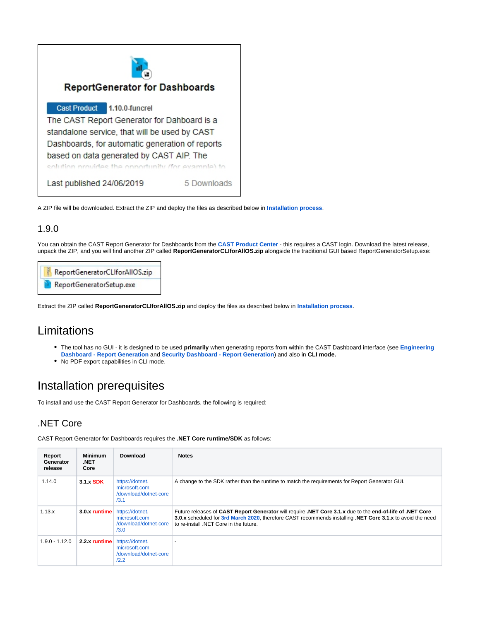

A ZIP file will be downloaded. Extract the ZIP and deploy the files as described below in **[Installation process](#page-4-0)**.

## <span id="page-1-0"></span>1.9.0

You can obtain the CAST Report Generator for Dashboards from the **[CAST Product Center](https://confluence.castsoftware.com/display/download/Report+Generator)** - this requires a CAST login. Download the latest release, unpack the ZIP, and you will find another ZIP called **ReportGeneratorCLIforAllOS.zip** alongside the traditional GUI based ReportGeneratorSetup.exe:

ReportGeneratorCLIforAIIOS.zip

ReportGeneratorSetup.exe

Extract the ZIP called **ReportGeneratorCLIforAllOS.zip** and deploy the files as described below in **[Installation process](#page-4-0)**.

## <span id="page-1-1"></span>Limitations

- The tool has no GUI it is designed to be used primarily when generating reports from within the CAST Dashboard interface (see Engineering **[Dashboard - Report Generation](https://doc.castsoftware.com/display/DASHBOARDS/Engineering+Dashboard+-+Report+Generation)** and **[Security Dashboard - Report Generation](https://doc.castsoftware.com/display/SECURITY/Security+Dashboard+-+Report+Generation)**) and also in **CLI mode.**
- No PDF export capabilities in CLI mode.

## <span id="page-1-2"></span>Installation prerequisites

To install and use the CAST Report Generator for Dashboards, the following is required:

## <span id="page-1-3"></span>.NET Core

CAST Report Generator for Dashboards requires the **.NET Core runtime/SDK** as follows:

| Report<br>Generator<br>release | <b>Minimum</b><br>.NET<br>Core | Download                                                          | <b>Notes</b>                                                                                                                                                                                                                                                      |
|--------------------------------|--------------------------------|-------------------------------------------------------------------|-------------------------------------------------------------------------------------------------------------------------------------------------------------------------------------------------------------------------------------------------------------------|
| 1.14.0                         | $3.1.x$ SDK                    | https://dotnet.<br>microsoft.com<br>/download/dotnet-core<br>/3.1 | A change to the SDK rather than the runtime to match the requirements for Report Generator GUI.                                                                                                                                                                   |
| 1.13.x                         | $3.0x$ runtime                 | https://dotnet.<br>microsoft.com<br>/download/dotnet-core<br>/3.0 | Future releases of CAST Report Generator will require .NET Core 3.1.x due to the end-of-life of .NET Core<br>3.0.x scheduled for 3rd March 2020, therefore CAST recommends installing .NET Core 3.1.x to avoid the need<br>to re-install .NET Core in the future. |
| 1.9.0 - 1.12.0                 | 2.2. $x$ runtime               | https://dotnet.<br>microsoft.com<br>/download/dotnet-core<br>/2.2 |                                                                                                                                                                                                                                                                   |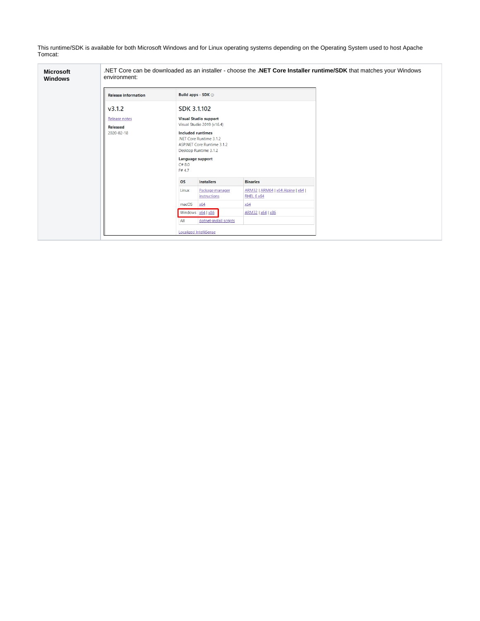This runtime/SDK is available for both Microsoft Windows and for Linux operating systems depending on the Operating System used to host Apache Tomcat:

| <b>Microsoft</b><br><b>Windows</b> | .NET Core can be downloaded as an installer - choose the .NET Core Installer runtime/SDK that matches your Windows<br>environment: |                                                                                                                                                                                                                       |                                 |                                                  |  |  |  |
|------------------------------------|------------------------------------------------------------------------------------------------------------------------------------|-----------------------------------------------------------------------------------------------------------------------------------------------------------------------------------------------------------------------|---------------------------------|--------------------------------------------------|--|--|--|
|                                    | <b>Release information</b>                                                                                                         | Build apps - SDK O                                                                                                                                                                                                    |                                 |                                                  |  |  |  |
|                                    | v3.1.2<br>Release notes<br><b>Released</b><br>2020-02-18                                                                           | SDK 3.1.102<br><b>Visual Studio support</b><br>Visual Studio 2019 (v16.4)<br><b>Included runtimes</b><br>.NET Core Runtime 3.1.2<br>ASP.NET Core Runtime 3.1.2<br>Desktop Runtime 3.1.2<br>Language support<br>C# 8.0 |                                 |                                                  |  |  |  |
|                                    |                                                                                                                                    | F# 4.7                                                                                                                                                                                                                |                                 |                                                  |  |  |  |
|                                    |                                                                                                                                    | <b>OS</b>                                                                                                                                                                                                             | <b>Installers</b>               | <b>Binaries</b>                                  |  |  |  |
|                                    |                                                                                                                                    | Linux                                                                                                                                                                                                                 | Package manager<br>instructions | ARM32   ARM64   x64 Alpine   x64  <br>RHEL 6 x64 |  |  |  |
|                                    |                                                                                                                                    | macOS                                                                                                                                                                                                                 | x64                             | x64                                              |  |  |  |
|                                    |                                                                                                                                    | Windows $x64   x86$                                                                                                                                                                                                   |                                 | ARM32   x64   x86                                |  |  |  |
|                                    |                                                                                                                                    | All                                                                                                                                                                                                                   | dotnet-install scripts          |                                                  |  |  |  |
|                                    |                                                                                                                                    | <b>Localized IntelliSense</b>                                                                                                                                                                                         |                                 |                                                  |  |  |  |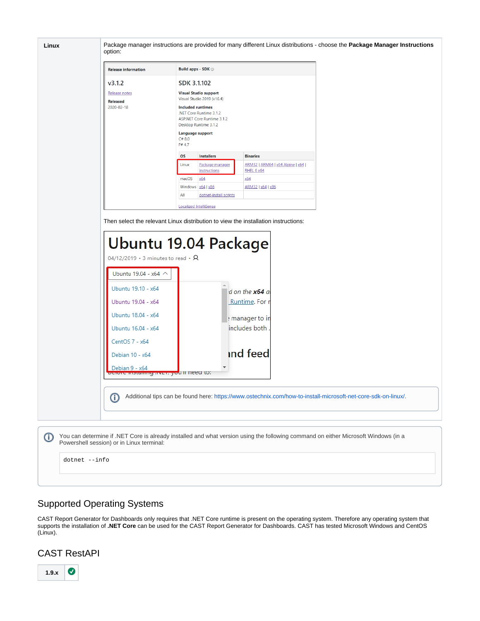

## <span id="page-3-0"></span>Supported Operating Systems

CAST Report Generator for Dashboards only requires that .NET Core runtime is present on the operating system. Therefore any operating system that supports the installation of **.NET Core** can be used for the CAST Report Generator for Dashboards. CAST has tested Microsoft Windows and CentOS (Linux).

## <span id="page-3-1"></span>CAST RestAPI

<span id="page-3-2"></span> **1.9.x**  $\bullet$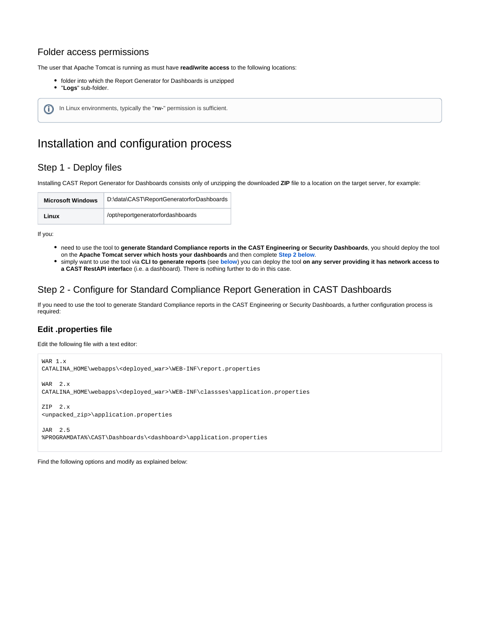## Folder access permissions

The user that Apache Tomcat is running as must have **read/write access** to the following locations:

- folder into which the Report Generator for Dashboards is unzipped
- "**Logs**" sub-folder.

## <span id="page-4-0"></span>Installation and configuration process

## <span id="page-4-1"></span>Step 1 - Deploy files

Installing CAST Report Generator for Dashboards consists only of unzipping the downloaded **ZIP** file to a location on the target server, for example:

| <b>Microsoft Windows</b> | D:\data\CAST\ReportGeneratorforDashboards |
|--------------------------|-------------------------------------------|
| Linux                    | /opt/reportgeneratorfordashboards         |

If you:

- need to use the tool to **generate Standard Compliance reports in the CAST Engineering or Security Dashboards**, you should deploy the tool on the **Apache Tomcat server which hosts your dashboards** and then complete **Step 2 below**.
- simply want to use the tool via **CLI to generate reports** (see **[below](#page-6-1)**) you can deploy the tool **on any server providing it has network access to a CAST RestAPI interfac**e (i.e. a dashboard). There is nothing further to do in this case.

## <span id="page-4-2"></span>Step 2 - Configure for Standard Compliance Report Generation in CAST Dashboards

If you need to use the tool to generate Standard Compliance reports in the CAST Engineering or Security Dashboards, a further configuration process is required:

### <span id="page-4-3"></span>**Edit .properties file**

Edit the following file with a text editor:

```
WAR 1.x
CATALINA_HOME\webapps\<deployed_war>\WEB-INF\report.properties
WAR 2.x
CATALINA_HOME\webapps\<deployed_war>\WEB-INF\classses\application.properties
ZIP 2.x
<unpacked_zip>\application.properties
JAR 2.5
%PROGRAMDATA%\CAST\Dashboards\<dashboard>\application.properties
```
Find the following options and modify as explained below: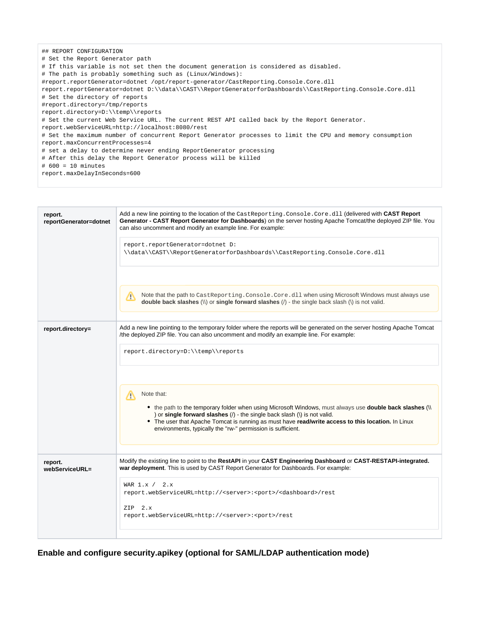## REPORT CONFIGURATION # Set the Report Generator path # If this variable is not set then the document generation is considered as disabled. # The path is probably something such as (Linux/Windows): #report.reportGenerator=dotnet /opt/report-generator/CastReporting.Console.Core.dll report.reportGenerator=dotnet D:\\data\\CAST\\ReportGeneratorforDashboards\\CastReporting.Console.Core.dll # Set the directory of reports #report.directory=/tmp/reports report.directory=D:\\temp\\reports # Set the current Web Service URL. The current REST API called back by the Report Generator. report.webServiceURL=http://localhost:8080/rest # Set the maximum number of concurrent Report Generator processes to limit the CPU and memory consumption report.maxConcurrentProcesses=4 # set a delay to determine never ending ReportGenerator processing # After this delay the Report Generator process will be killed # 600 = 10 minutes report.maxDelayInSeconds=600



<span id="page-5-0"></span>**Enable and configure security.apikey (optional for SAML/LDAP authentication mode)**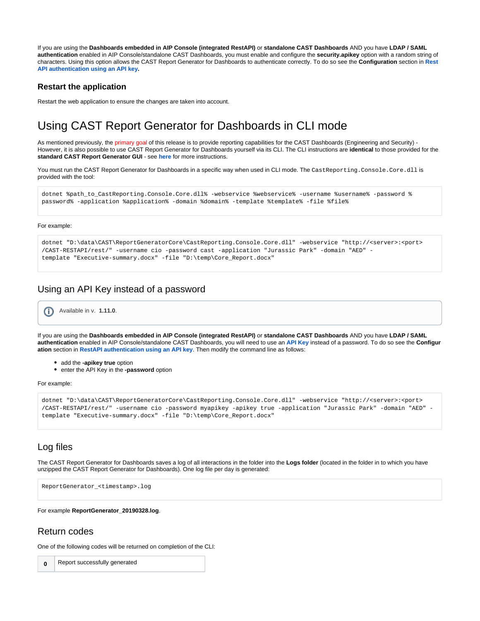If you are using the **Dashboards embedded in AIP Console (integrated RestAPI)** or **standalone CAST Dashboards** AND you have **LDAP / SAML authentication** enabled in AIP Console/standalone CAST Dashboards, you must enable and configure the **security.apikey** option with a random string of characters. Using this option allows the CAST Report Generator for Dashboards to authenticate correctly. To do so see the **Configuration** section in **[Rest](https://doc.castsoftware.com/display/DASHBOARDS/RestAPI+authentication+using+an+API+key) [API authentication using an API key.](https://doc.castsoftware.com/display/DASHBOARDS/RestAPI+authentication+using+an+API+key)**

#### <span id="page-6-0"></span>**Restart the application**

Restart the web application to ensure the changes are taken into account.

## <span id="page-6-1"></span>Using CAST Report Generator for Dashboards in CLI mode

As mentioned previously, the primary goal of this release is to provide reporting capabilities for the CAST Dashboards (Engineering and Security) -However, it is also possible to use CAST Report Generator for Dashboards yourself via its CLI. The CLI instructions are **identical** to those provided for the **standard CAST Report Generator GUI** - see **[here](https://doc.castsoftware.com/display/DOCCOM/CAST+Report+Generator#CASTReportGenerator-CLI)** for more instructions.

You must run the CAST Report Generator for Dashboards in a specific way when used in CLI mode. The CastReporting. Console. Core.dll is provided with the tool:

dotnet %path\_to\_CastReporting.Console.Core.dll% -webservice %webservice% -username %username% -password % password% -application %application% -domain %domain% -template %template% -file %file%

#### For example:

```
dotnet "D:\data\CAST\ReportGeneratorCore\CastReporting.Console.Core.dll" -webservice "http://<server>:<port>
/CAST-RESTAPI/rest/" -username cio -password cast -application "Jurassic Park" -domain "AED" -
template "Executive-summary.docx" -file "D:\temp\Core_Report.docx"
```
#### <span id="page-6-2"></span>Using an API Key instead of a password

Available in v. **1.11.0**.G)

If you are using the **Dashboards embedded in AIP Console (integrated RestAPI)** or **standalone CAST Dashboards** AND you have **LDAP / SAML authentication** enabled in AIP Console/standalone CAST Dashboards, you will need to use an **[API Key](https://doc.castsoftware.com/display/DASHBOARDS/RestAPI+authentication+using+an+API+key)** instead of a password. To do so see the **Configur ation** section in **[RestAPI authentication using an API key](https://doc.castsoftware.com/display/DASHBOARDS/RestAPI+authentication+using+an+API+key)**. Then modify the command line as follows:

- add the **-apikey true** option
- enter the API Key in the **-password** option

For example:

```
dotnet "D:\data\CAST\ReportGeneratorCore\CastReporting.Console.Core.dll" -webservice "http://<server>:<port>
/CAST-RESTAPI/rest/" -username cio -password myapikey -apikey true -application "Jurassic Park" -domain "AED" -
template "Executive-summary.docx" -file "D:\temp\Core_Report.docx"
```
#### <span id="page-6-3"></span>Log files

The CAST Report Generator for Dashboards saves a log of all interactions in the folder into the **Logs folder** (located in the folder in to which you have unzipped the CAST Report Generator for Dashboards). One log file per day is generated:

```
ReportGenerator_<timestamp>.log
```
For example **ReportGenerator\_20190328.log**.

#### <span id="page-6-4"></span>Return codes

One of the following codes will be returned on completion of the CLI:

**0** Report successfully generated